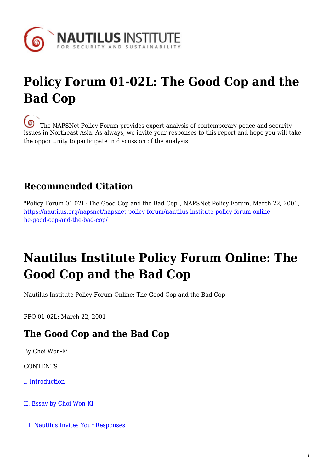

# **Policy Forum 01-02L: The Good Cop and the Bad Cop**

[T](https://nautilus.org/wp-content/uploads/2013/05/nautilus-logo-small.png)he NAPSNet Policy Forum provides expert analysis of contemporary peace and security issues in Northeast Asia. As always, we invite your responses to this report and hope you will take the opportunity to participate in discussion of the analysis.

## **Recommended Citation**

"Policy Forum 01-02L: The Good Cop and the Bad Cop", NAPSNet Policy Forum, March 22, 2001, [https://nautilus.org/napsnet/napsnet-policy-forum/nautilus-institute-policy-forum-online-](https://nautilus.org/napsnet/napsnet-policy-forum/nautilus-institute-policy-forum-online-the-good-cop-and-the-bad-cop/) [he-good-cop-and-the-bad-cop/](https://nautilus.org/napsnet/napsnet-policy-forum/nautilus-institute-policy-forum-online-the-good-cop-and-the-bad-cop/)

# **Nautilus Institute Policy Forum Online: The Good Cop and the Bad Cop**

Nautilus Institute Policy Forum Online: The Good Cop and the Bad Cop

PFO 01-02L: March 22, 2001

## **The Good Cop and the Bad Cop**

By Choi Won-Ki

**CONTENTS** 

[I. Introduction](#page-1-0)

[II. Essay by Choi Won-Ki](#page-1-1)

[III. Nautilus Invites Your Responses](#page-4-0)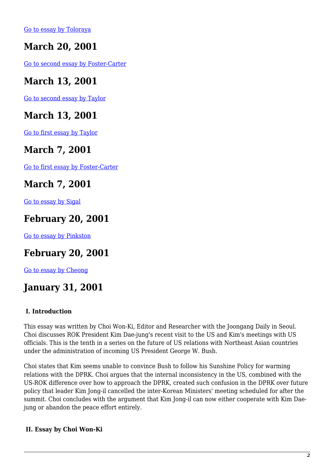[Go to essay by Toloraya](https://nautilus.org/publications/essays/napsnet/forum/policy-forum-archive/nautilus-institute-policy-forum-online-korean-peninsula-are-there-things-more-important-than-peace/)

## **March 20, 2001**

[Go to second essay by Foster-Carter](https://nautilus.org/publications/essays/napsnet/forum/policy-forum-archive/nautilus-institute-policy-forum-online-bush-should-listen-to-a-korean-elder-statesman/)

### **March 13, 2001**

[Go to second essay by Taylor](https://nautilus.org/publications/essays/napsnet/forum/policy-forum-archive/nautilus-institute-policy-forum-online-north-korea-avoid-another-crossroads/)

### **March 13, 2001**

[Go to first essay by Taylor](https://nautilus.org/publications/essays/napsnet/forum/policy-forum-archive/nautilus-institute-policy-forum-online-north-korea-policy-steady-as-she-goes/)

### **March 7, 2001**

[Go to first essay by Foster-Carter](https://nautilus.org/publications/essays/napsnet/forum/policy-forum-archive/nautilus-institute-pfo-dove-myths-no-better-than-hawk-myths/)

#### **March 7, 2001**

[Go to essay by Sigal](https://nautilus.org/publications/essays/napsnet/forum/policy-forum-archive/nautilus-institute-pfo-01-02c-six-myths-about-dealing-with-pyongyang/)

#### **February 20, 2001**

[Go to essay by Pinkston](https://nautilus.org/publications/essays/napsnet/forum/policy-forum-archive/nautilus-institute-policy-forum-online-dprk-economic-reforms-and-u-s-security-policy-in-northeast-asia/)

### **February 20, 2001**

[Go to essay by Cheong](https://nautilus.org/publications/essays/napsnet/forum/policy-forum-archive/nautilus-institute-policy-forum-online-inauguration-of-president-bush-and-alliance-between-china-and-north-korea/)

### **January 31, 2001**

#### <span id="page-1-0"></span> **I. Introduction**

This essay was written by Choi Won-Ki, Editor and Researcher with the Joongang Daily in Seoul. Choi discusses ROK President Kim Dae-jung's recent visit to the US and Kim's meetings with US officials. This is the tenth in a series on the future of US relations with Northeast Asian countries under the administration of incoming US President George W. Bush.

Choi states that Kim seems unable to convince Bush to follow his Sunshine Policy for warming relations with the DPRK. Choi argues that the internal inconsistency in the US, combined with the US-ROK difference over how to approach the DPRK, created such confusion in the DPRK over future policy that leader Kim Jong-il cancelled the inter-Korean Ministers' meeting scheduled for after the summit. Choi concludes with the argument that Kim Jong-il can now either cooperate with Kim Daejung or abandon the peace effort entirely.

#### <span id="page-1-1"></span> **II. Essay by Choi Won-Ki**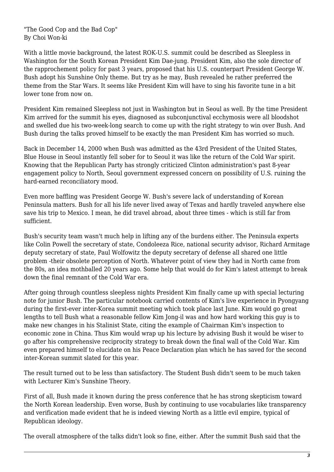"The Good Cop and the Bad Cop" By Choi Won-ki

With a little movie background, the latest ROK-U.S. summit could be described as Sleepless in Washington for the South Korean President Kim Dae-jung. President Kim, also the sole director of the rapprochement policy for past 3 years, proposed that his U.S. counterpart President George W. Bush adopt his Sunshine Only theme. But try as he may, Bush revealed he rather preferred the theme from the Star Wars. It seems like President Kim will have to sing his favorite tune in a bit lower tone from now on.

President Kim remained Sleepless not just in Washington but in Seoul as well. By the time President Kim arrived for the summit his eyes, diagnosed as subconjunctival ecchymosis were all bloodshot and swelled due his two-week-long search to come up with the right strategy to win over Bush. And Bush during the talks proved himself to be exactly the man President Kim has worried so much.

Back in December 14, 2000 when Bush was admitted as the 43rd President of the United States, Blue House in Seoul instantly fell sober for to Seoul it was like the return of the Cold War spirit. Knowing that the Republican Party has strongly criticized Clinton administration's past 8-year engagement policy to North, Seoul government expressed concern on possibility of U.S. ruining the hard-earned reconciliatory mood.

Even more baffling was President George W. Bush's severe lack of understanding of Korean Peninsula matters. Bush for all his life never lived away of Texas and hardly traveled anywhere else save his trip to Mexico. I mean, he did travel abroad, about three times - which is still far from sufficient.

Bush's security team wasn't much help in lifting any of the burdens either. The Peninsula experts like Colin Powell the secretary of state, Condoleeza Rice, national security advisor, Richard Armitage deputy secretary of state, Paul Wolfowitz the deputy secretary of defense all shared one little problem -their obsolete perception of North. Whatever point of view they had in North came from the 80s, an idea mothballed 20 years ago. Some help that would do for Kim's latest attempt to break down the final remnant of the Cold War era.

After going through countless sleepless nights President Kim finally came up with special lecturing note for junior Bush. The particular notebook carried contents of Kim's live experience in Pyongyang during the first-ever inter-Korea summit meeting which took place last June. Kim would go great lengths to tell Bush what a reasonable fellow Kim Jong-il was and how hard working this guy is to make new changes in his Stalinist State, citing the example of Chairman Kim's inspection to economic zone in China. Thus Kim would wrap up his lecture by advising Bush it would be wiser to go after his comprehensive reciprocity strategy to break down the final wall of the Cold War. Kim even prepared himself to elucidate on his Peace Declaration plan which he has saved for the second inter-Korean summit slated for this year.

The result turned out to be less than satisfactory. The Student Bush didn't seem to be much taken with Lecturer Kim's Sunshine Theory.

First of all, Bush made it known during the press conference that he has strong skepticism toward the North Korean leadership. Even worse, Bush by continuing to use vocabularies like transparency and verification made evident that he is indeed viewing North as a little evil empire, typical of Republican ideology.

The overall atmosphere of the talks didn't look so fine, either. After the summit Bush said that the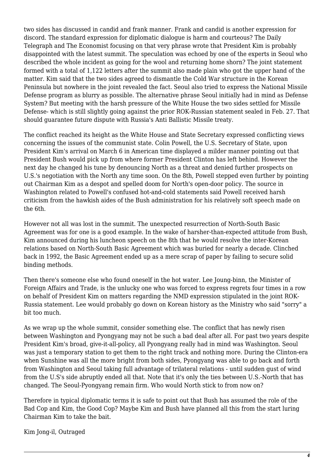two sides has discussed in candid and frank manner. Frank and candid is another expression for discord. The standard expression for diplomatic dialogue is harm and courteous? The Daily Telegraph and The Economist focusing on that very phrase wrote that President Kim is probably disappointed with the latest summit. The speculation was echoed by one of the experts in Seoul who described the whole incident as going for the wool and returning home shorn? The joint statement formed with a total of 1,122 letters after the summit also made plain who got the upper hand of the matter. Kim said that the two sides agreed to dismantle the Cold War structure in the Korean Peninsula but nowhere in the joint revealed the fact. Seoul also tried to express the National Missile Defense program as blurry as possible. The alternative phrase Seoul initially had in mind as Defense System? But meeting with the harsh pressure of the White House the two sides settled for Missile Defense- which is still slightly going against the prior ROK-Russian statement sealed in Feb. 27. That should guarantee future dispute with Russia's Anti Ballistic Missile treaty.

The conflict reached its height as the White House and State Secretary expressed conflicting views concerning the issues of the communist state. Colin Powell, the U.S. Secretary of State, upon President Kim's arrival on March 6 in American time displayed a milder manner pointing out that President Bush would pick up from where former President Clinton has left behind. However the next day he changed his tune by denouncing North as a threat and denied further prospects on U.S.'s negotiation with the North any time soon. On the 8th, Powell stepped even further by pointing out Chairman Kim as a despot and spelled doom for North's open-door policy. The source in Washington related to Powell's confused hot-and-cold statements said Powell received harsh criticism from the hawkish aides of the Bush administration for his relatively soft speech made on the 6th.

However not all was lost in the summit. The unexpected resurrection of North-South Basic Agreement was for one is a good example. In the wake of harsher-than-expected attitude from Bush, Kim announced during his luncheon speech on the 8th that he would resolve the inter-Korean relations based on North-South Basic Agreement which was buried for nearly a decade. Clinched back in 1992, the Basic Agreement ended up as a mere scrap of paper by failing to secure solid binding methods.

Then there's someone else who found oneself in the hot water. Lee Joung-binn, the Minister of Foreign Affairs and Trade, is the unlucky one who was forced to express regrets four times in a row on behalf of President Kim on matters regarding the NMD expression stipulated in the joint ROK-Russia statement. Lee would probably go down on Korean history as the Ministry who said "sorry" a bit too much.

As we wrap up the whole summit, consider something else. The conflict that has newly risen between Washington and Pyongyang may not be such a bad deal after all. For past two years despite President Kim's broad, give-it-all-policy, all Pyongyang really had in mind was Washington. Seoul was just a temporary station to get them to the right track and nothing more. During the Clinton-era when Sunshine was all the more bright from both sides, Pyongyang was able to go back and forth from Washington and Seoul taking full advantage of trilateral relations - until sudden gust of wind from the U.S's side abruptly ended all that. Note that it's only the ties between U.S.-North that has changed. The Seoul-Pyongyang remain firm. Who would North stick to from now on?

Therefore in typical diplomatic terms it is safe to point out that Bush has assumed the role of the Bad Cop and Kim, the Good Cop? Maybe Kim and Bush have planned all this from the start luring Chairman Kim to take the bait.

Kim Jong-il, Outraged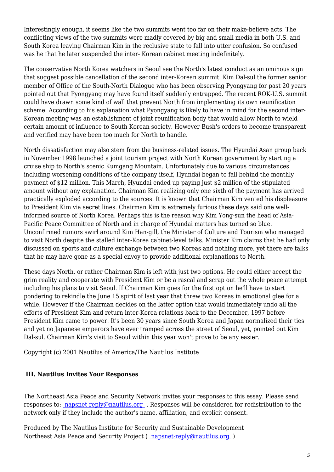Interestingly enough, it seems like the two summits went too far on their make-believe acts. The conflicting views of the two summits were madly covered by big and small media in both U.S. and South Korea leaving Chairman Kim in the reclusive state to fall into utter confusion. So confused was he that he later suspended the inter- Korean cabinet meeting indefinitely.

The conservative North Korea watchers in Seoul see the North's latest conduct as an ominous sign that suggest possible cancellation of the second inter-Korean summit. Kim Dal-sul the former senior member of Office of the South-North Dialogue who has been observing Pyongyang for past 20 years pointed out that Pyongyang may have found itself suddenly entrapped. The recent ROK-U.S. summit could have drawn some kind of wall that prevent North from implementing its own reunification scheme. According to his explanation what Pyongyang is likely to have in mind for the second inter-Korean meeting was an establishment of joint reunification body that would allow North to wield certain amount of influence to South Korean society. However Bush's orders to become transparent and verified may have been too much for North to handle.

North dissatisfaction may also stem from the business-related issues. The Hyundai Asan group back in November 1998 launched a joint tourism project with North Korean government by starting a cruise ship to North's scenic Kumgang Mountain. Unfortunately due to various circumstances including worsening conditions of the company itself, Hyundai began to fall behind the monthly payment of \$12 million. This March, Hyundai ended up paying just \$2 million of the stipulated amount without any explanation. Chairman Kim realizing only one sixth of the payment has arrived practically exploded according to the sources. It is known that Chairman Kim vented his displeasure to President Kim via secret lines. Chairman Kim is extremely furious these days said one wellinformed source of North Korea. Perhaps this is the reason why Kim Yong-sun the head of Asia-Pacific Peace Committee of North and in charge of Hyundai matters has turned so blue. Unconfirmed rumors swirl around Kim Han-gill, the Minister of Culture and Tourism who managed to visit North despite the stalled inter-Korea cabinet-level talks. Minister Kim claims that he had only discussed on sports and culture exchange between two Koreas and nothing more, yet there are talks that he may have gone as a special envoy to provide additional explanations to North.

These days North, or rather Chairman Kim is left with just two options. He could either accept the grim reality and cooperate with President Kim or be a rascal and scrap out the whole peace attempt including his plans to visit Seoul. If Chairman Kim goes for the first option he'll have to start pondering to rekindle the June 15 spirit of last year that threw two Koreas in emotional glee for a while. However if the Chairman decides on the latter option that would immediately undo all the efforts of President Kim and return inter-Korea relations back to the December, 1997 before President Kim came to power. It's been 30 years since South Korea and Japan normalized their ties and yet no Japanese emperors have ever tramped across the street of Seoul, yet, pointed out Kim Dal-sul. Chairman Kim's visit to Seoul within this year won't prove to be any easier.

Copyright (c) 2001 Nautilus of America/The Nautilus Institute

#### <span id="page-4-0"></span> **III. Nautilus Invites Your Responses**

The Northeast Asia Peace and Security Network invites your responses to this essay. Please send responses to: [napsnet-reply@nautilus.org](mailto:napsnet-reply@nautilus.org (Response to Forum 00-01)) . Responses will be considered for redistribution to the network only if they include the author's name, affiliation, and explicit consent.

Produced by The Nautilus Institute for Security and Sustainable Development Northeast Asia Peace and Security Project ( [napsnet-reply@nautilus.org](mailto:napsnet-reply@nautilus.org) )